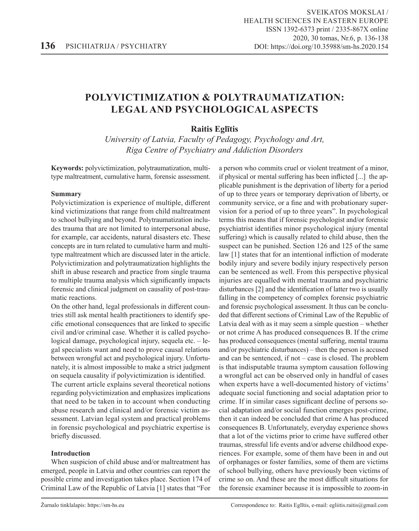# **POLYVICTIMIZATION & POLYTRAUMATIZATION: LEGAL AND PSYCHOLOGICAL ASPECTS**

# **Raitis Eglītis**

*University of Latvia, Faculty of Pedagogy, Psychology and Art, Riga Centre of Psychiatry and Addiction Disorders*

**Keywords:** polyvictimization, polytraumatization, multitype maltreatment, cumulative harm, forensic assessment.

## **Summary**

Polyvictimization is experience of multiple, different kind victimizations that range from child maltreatment to school bullying and beyond. Polytraumatization includes trauma that are not limited to interpersonal abuse, for example, car accidents, natural disasters etc. These concepts are in turn related to cumulative harm and multitype maltreatment which are discussed later in the article. Polyvictimization and polytraumatization highlights the shift in abuse research and practice from single trauma to multiple trauma analysis which significantly impacts forensic and clinical judgment on causality of post-traumatic reactions.

On the other hand, legal professionals in different countries still ask mental health practitioners to identify specific emotional consequences that are linked to specific civil and/or criminal case. Whether it is called psychological damage, psychological injury, sequela etc. – legal specialists want and need to prove causal relations between wrongful act and psychological injury. Unfortunately, it is almost impossible to make a strict judgment on sequela causality if polyvictimization is identified.

The current article explains several theoretical notions regarding polyvictimization and emphasizes implications that need to be taken in to account when conducting abuse research and clinical and/or forensic victim assessment. Latvian legal system and practical problems in forensic psychological and psychiatric expertise is briefly discussed.

# **Introduction**

When suspicion of child abuse and/or maltreatment has emerged, people in Latvia and other countries can report the possible crime and investigation takes place. Section 174 of Criminal Law of the Republic of Latvia [1] states that "For

a person who commits cruel or violent treatment of a minor, if physical or mental suffering has been inflicted [...] the applicable punishment is the deprivation of liberty for a period of up to three years or temporary deprivation of liberty, or community service, or a fine and with probationary supervision for a period of up to three years". In psychological terms this means that if forensic psychologist and/or forensic psychiatrist identifies minor psychological injury (mental suffering) which is causally related to child abuse, then the suspect can be punished. Section 126 and 125 of the same law [1] states that for an intentional infliction of moderate bodily injury and severe bodily injury respectively person can be sentenced as well. From this perspective physical injuries are equalled with mental trauma and psychiatric disturbances [2] and the identification of latter two is usually falling in the competency of complex forensic psychiatric and forensic psychological assessment. It thus can be concluded that different sections of Criminal Law of the Republic of Latvia deal with as it may seem a simple question – whether or not crime A has produced consequences B. If the crime has produced consequences (mental suffering, mental trauma and/or psychiatric disturbances) – then the person is accused and can be sentenced, if not – case is closed. The problem is that indisputable trauma symptom causation following a wrongful act can be observed only in handful of cases when experts have a well-documented history of victims' adequate social functioning and social adaptation prior to crime. If in similar cases significant decline of persons social adaptation and/or social function emerges post-crime, then it can indeed be concluded that crime A has produced consequences B. Unfortunately, everyday experience shows that a lot of the victims prior to crime have suffered other traumas, stressful life events and/or adverse childhood experiences. For example, some of them have been in and out of orphanages or foster families, some of them are victims of school bullying, others have previously been victims of crime so on. And these are the most difficult situations for the forensic examiner because it is impossible to zoom-in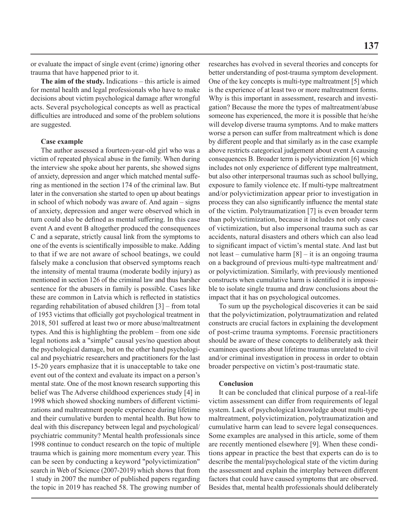or evaluate the impact of single event (crime) ignoring other trauma that have happened prior to it.

**The aim of the study.** Indications – this article is aimed for mental health and legal professionals who have to make decisions about victim psychological damage after wrongful acts. Several psychological concepts as well as practical difficulties are introduced and some of the problem solutions are suggested.

#### **Case example**

The author assessed a fourteen-year-old girl who was a victim of repeated physical abuse in the family. When during the interview she spoke about her parents, she showed signs of anxiety, depression and anger which matched mental suffering as mentioned in the section 174 of the criminal law. But later in the conversation she started to open up about beatings in school of which nobody was aware of. And again – signs of anxiety, depression and anger were observed which in turn could also be defined as mental suffering. In this case event A and event B altogether produced the consequences C and a separate, strictly causal link from the symptoms to one of the events is scientifically impossible to make. Adding to that if we are not aware of school beatings, we could falsely make a conclusion that observed symptoms reach the intensity of mental trauma (moderate bodily injury) as mentioned in section 126 of the criminal law and thus harsher sentence for the abusers in family is possible. Cases like these are common in Latvia which is reflected in statistics regarding rehabilitation of abused children [3] – from total of 1953 victims that officially got psychological treatment in 2018, 501 suffered at least two or more abuse/maltreatment types. And this is highlighting the problem – from one side legal notions ask a "simple" causal yes/no question about the psychological damage, but on the other hand psychological and psychiatric researchers and practitioners for the last 15-20 years emphasize that it is unacceptable to take one event out of the context and evaluate its impact on a person's mental state. One of the most known research supporting this belief was The Adverse childhood experiences study [4] in 1998 which showed shocking numbers of different victimizations and maltreatment people experience during lifetime and their cumulative burden to mental health. But how to deal with this discrepancy between legal and psychological/ psychiatric community? Mental health professionals since 1998 continue to conduct research on the topic of multiple trauma which is gaining more momentum every year. This can be seen by conducting a keyword "polyvictimization" search in Web of Science (2007-2019) which shows that from 1 study in 2007 the number of published papers regarding the topic in 2019 has reached 58. The growing number of researches has evolved in several theories and concepts for better understanding of post-trauma symptom development. One of the key concepts is multi-type maltreatment [5] which is the experience of at least two or more maltreatment forms. Why is this important in assessment, research and investigation? Because the more the types of maltreatment/abuse someone has experienced, the more it is possible that he/she will develop diverse trauma symptoms. And to make matters worse a person can suffer from maltreatment which is done by different people and that similarly as in the case example above restricts categorical judgement about event A causing consequences B. Broader term is polyvictimization [6] which includes not only experience of different type maltreatment, but also other interpersonal traumas such as school bullying, exposure to family violence etc. If multi-type maltreatment and/or polyvictimization appear prior to investigation in process they can also significantly influence the mental state of the victim. Polytraumatization [7] is even broader term than polyvictimization, because it includes not only cases of victimization, but also impersonal trauma such as car accidents, natural disasters and others which can also lead to significant impact of victim's mental state. And last but not least – cumulative harm  $[8]$  – it is an ongoing trauma on a background of previous multi-type maltreatment and/ or polyvictimization. Similarly, with previously mentioned constructs when cumulative harm is identified it is impossible to isolate single trauma and draw conclusions about the impact that it has on psychological outcomes.

To sum up the psychological discoveries it can be said that the polyvictimization, polytraumatization and related constructs are crucial factors in explaining the development of post-crime trauma symptoms. Forensic practitioners should be aware of these concepts to deliberately ask their examinees questions about lifetime traumas unrelated to civil and/or criminal investigation in process in order to obtain broader perspective on victim's post-traumatic state.

#### **Conclusion**

It can be concluded that clinical purpose of a real-life victim assessment can differ from requirements of legal system. Lack of psychological knowledge about multi-type maltreatment, polyvictimization, polytraumatization and cumulative harm can lead to severe legal consequences. Some examples are analysed in this article, some of them are recently mentioned elsewhere [9]. When these conditions appear in practice the best that experts can do is to describe the mental/psychological state of the victim during the assessment and explain the interplay between different factors that could have caused symptoms that are observed. Besides that, mental health professionals should deliberately